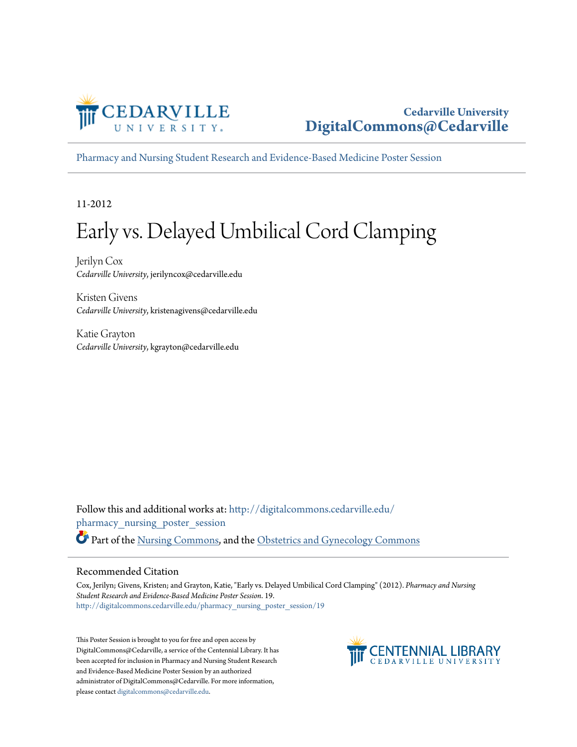

#### **Cedarville University [DigitalCommons@Cedarville](http://digitalcommons.cedarville.edu?utm_source=digitalcommons.cedarville.edu%2Fpharmacy_nursing_poster_session%2F19&utm_medium=PDF&utm_campaign=PDFCoverPages)**

[Pharmacy and Nursing Student Research and Evidence-Based Medicine Poster Session](http://digitalcommons.cedarville.edu/pharmacy_nursing_poster_session?utm_source=digitalcommons.cedarville.edu%2Fpharmacy_nursing_poster_session%2F19&utm_medium=PDF&utm_campaign=PDFCoverPages)

11-2012

#### Early vs. Delayed Umbilical Cord Clamping

Jerilyn Cox *Cedarville University*, jerilyncox@cedarville.edu

Kristen Givens *Cedarville University*, kristenagivens@cedarville.edu

Katie Grayton *Cedarville University*, kgrayton@cedarville.edu

Follow this and additional works at: [http://digitalcommons.cedarville.edu/](http://digitalcommons.cedarville.edu/pharmacy_nursing_poster_session?utm_source=digitalcommons.cedarville.edu%2Fpharmacy_nursing_poster_session%2F19&utm_medium=PDF&utm_campaign=PDFCoverPages) [pharmacy\\_nursing\\_poster\\_session](http://digitalcommons.cedarville.edu/pharmacy_nursing_poster_session?utm_source=digitalcommons.cedarville.edu%2Fpharmacy_nursing_poster_session%2F19&utm_medium=PDF&utm_campaign=PDFCoverPages) Part of the [Nursing Commons](http://network.bepress.com/hgg/discipline/718?utm_source=digitalcommons.cedarville.edu%2Fpharmacy_nursing_poster_session%2F19&utm_medium=PDF&utm_campaign=PDFCoverPages), and the [Obstetrics and Gynecology Commons](http://network.bepress.com/hgg/discipline/693?utm_source=digitalcommons.cedarville.edu%2Fpharmacy_nursing_poster_session%2F19&utm_medium=PDF&utm_campaign=PDFCoverPages)

#### Recommended Citation

Cox, Jerilyn; Givens, Kristen; and Grayton, Katie, "Early vs. Delayed Umbilical Cord Clamping" (2012). *Pharmacy and Nursing Student Research and Evidence-Based Medicine Poster Session*. 19. [http://digitalcommons.cedarville.edu/pharmacy\\_nursing\\_poster\\_session/19](http://digitalcommons.cedarville.edu/pharmacy_nursing_poster_session/19?utm_source=digitalcommons.cedarville.edu%2Fpharmacy_nursing_poster_session%2F19&utm_medium=PDF&utm_campaign=PDFCoverPages)

This Poster Session is brought to you for free and open access by DigitalCommons@Cedarville, a service of the Centennial Library. It has been accepted for inclusion in Pharmacy and Nursing Student Research and Evidence-Based Medicine Poster Session by an authorized administrator of DigitalCommons@Cedarville. For more information, please contact [digitalcommons@cedarville.edu.](mailto:digitalcommons@cedarville.edu)